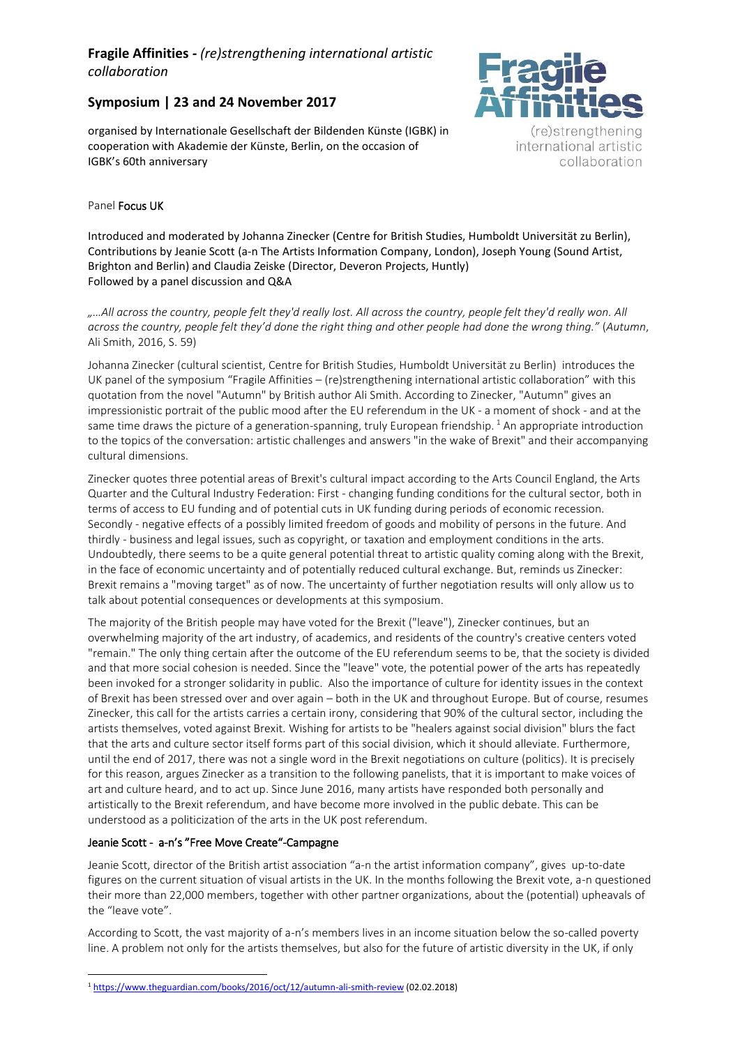# **Fragile Affinities** *- (re)strengthening international artistic collaboration*

## **Symposium | 23 and 24 November 2017**

organised by Internationale Gesellschaft der Bildenden Künste (IGBK) in cooperation with Akademie der Künste, Berlin, on the occasion of IGBK's 60th anniversary



(re)strengthening international artistic collaboration

### Panel Focus UK

Introduced and moderated by Johanna Zinecker (Centre for British Studies, Humboldt Universität zu Berlin), Contributions by Jeanie Scott (a-n The Artists Information Company, London), Joseph Young (Sound Artist, Brighton and Berlin) and Claudia Zeiske (Director, Deveron Projects, Huntly) Followed by a panel discussion and Q&A

*"…All across the country, people felt they'd really lost. All across the country, people felt they'd really won. All across the country, people felt they'd done the right thing and other people had done the wrong thing."* (*Autumn*, Ali Smith, 2016, S. 59)

Johanna Zinecker (cultural scientist, Centre for British Studies, Humboldt Universität zu Berlin) introduces the UK panel of the symposium "Fragile Affinities – (re)strengthening international artistic collaboration" with this quotation from the novel "Autumn" by British author Ali Smith. According to Zinecker, "Autumn" gives an impressionistic portrait of the public mood after the EU referendum in the UK - a moment of shock - and at the same time draws the picture of a generation-spanning, truly European friendship.  $1$  An appropriate introduction to the topics of the conversation: artistic challenges and answers "in the wake of Brexit" and their accompanying cultural dimensions.

Zinecker quotes three potential areas of Brexit's cultural impact according to the Arts Council England, the Arts Quarter and the Cultural Industry Federation: First - changing funding conditions for the cultural sector, both in terms of access to EU funding and of potential cuts in UK funding during periods of economic recession. Secondly - negative effects of a possibly limited freedom of goods and mobility of persons in the future. And thirdly - business and legal issues, such as copyright, or taxation and employment conditions in the arts. Undoubtedly, there seems to be a quite general potential threat to artistic quality coming along with the Brexit, in the face of economic uncertainty and of potentially reduced cultural exchange. But, reminds us Zinecker: Brexit remains a "moving target" as of now. The uncertainty of further negotiation results will only allow us to talk about potential consequences or developments at this symposium.

The majority of the British people may have voted for the Brexit ("leave"), Zinecker continues, but an overwhelming majority of the art industry, of academics, and residents of the country's creative centers voted "remain." The only thing certain after the outcome of the EU referendum seems to be, that the society is divided and that more social cohesion is needed. Since the "leave" vote, the potential power of the arts has repeatedly been invoked for a stronger solidarity in public. Also the importance of culture for identity issues in the context of Brexit has been stressed over and over again – both in the UK and throughout Europe. But of course, resumes Zinecker, this call for the artists carries a certain irony, considering that 90% of the cultural sector, including the artists themselves, voted against Brexit. Wishing for artists to be "healers against social division" blurs the fact that the arts and culture sector itself forms part of this social division, which it should alleviate. Furthermore, until the end of 2017, there was not a single word in the Brexit negotiations on culture (politics). It is precisely for this reason, argues Zinecker as a transition to the following panelists, that it is important to make voices of art and culture heard, and to act up. Since June 2016, many artists have responded both personally and artistically to the Brexit referendum, and have become more involved in the public debate. This can be understood as a politicization of the arts in the UK post referendum.

#### Jeanie Scott - a-n's "Free Move Create"-Campagne

Jeanie Scott, director of the British artist association "a-n the artist information company", gives up-to-date figures on the current situation of visual artists in the UK. In the months following the Brexit vote, a-n questioned their more than 22,000 members, together with other partner organizations, about the (potential) upheavals of the "leave vote".

According to Scott, the vast majority of a-n's members lives in an income situation below the so-called poverty line. A problem not only for the artists themselves, but also for the future of artistic diversity in the UK, if only

**<sup>.</sup>** <sup>1</sup> <https://www.theguardian.com/books/2016/oct/12/autumn-ali-smith-review> (02.02.2018)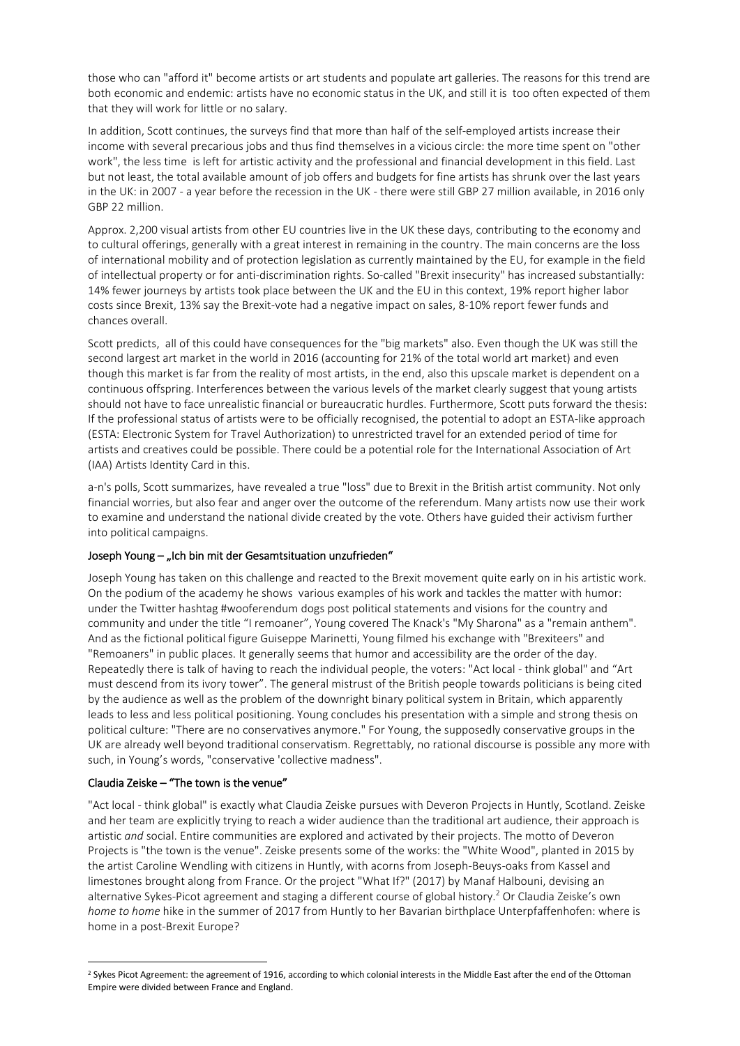those who can "afford it" become artists or art students and populate art galleries. The reasons for this trend are both economic and endemic: artists have no economic status in the UK, and still it is too often expected of them that they will work for little or no salary.

In addition, Scott continues, the surveys find that more than half of the self-employed artists increase their income with several precarious jobs and thus find themselves in a vicious circle: the more time spent on "other work", the less time is left for artistic activity and the professional and financial development in this field. Last but not least, the total available amount of job offers and budgets for fine artists has shrunk over the last years in the UK: in 2007 - a year before the recession in the UK - there were still GBP 27 million available, in 2016 only GBP 22 million.

Approx. 2,200 visual artists from other EU countries live in the UK these days, contributing to the economy and to cultural offerings, generally with a great interest in remaining in the country. The main concerns are the loss of international mobility and of protection legislation as currently maintained by the EU, for example in the field of intellectual property or for anti-discrimination rights. So-called "Brexit insecurity" has increased substantially: 14% fewer journeys by artists took place between the UK and the EU in this context, 19% report higher labor costs since Brexit, 13% say the Brexit-vote had a negative impact on sales, 8-10% report fewer funds and chances overall.

Scott predicts, all of this could have consequences for the "big markets" also. Even though the UK was still the second largest art market in the world in 2016 (accounting for 21% of the total world art market) and even though this market is far from the reality of most artists, in the end, also this upscale market is dependent on a continuous offspring. Interferences between the various levels of the market clearly suggest that young artists should not have to face unrealistic financial or bureaucratic hurdles. Furthermore, Scott puts forward the thesis: If the professional status of artists were to be officially recognised, the potential to adopt an ESTA-like approach (ESTA: Electronic System for Travel Authorization) to unrestricted travel for an extended period of time for artists and creatives could be possible. There could be a potential role for the International Association of Art (IAA) Artists Identity Card in this.

a-n's polls, Scott summarizes, have revealed a true "loss" due to Brexit in the British artist community. Not only financial worries, but also fear and anger over the outcome of the referendum. Many artists now use their work to examine and understand the national divide created by the vote. Others have guided their activism further into political campaigns.

#### Joseph Young - "Ich bin mit der Gesamtsituation unzufrieden"

Joseph Young has taken on this challenge and reacted to the Brexit movement quite early on in his artistic work. On the podium of the academy he shows various examples of his work and tackles the matter with humor: under the Twitter hashtag #wooferendum dogs post political statements and visions for the country and community and under the title "I remoaner", Young covered The Knack's "My Sharona" as a "remain anthem". And as the fictional political figure Guiseppe Marinetti, Young filmed his exchange with "Brexiteers" and "Remoaners" in public places. It generally seems that humor and accessibility are the order of the day. Repeatedly there is talk of having to reach the individual people, the voters: "Act local - think global" and "Art must descend from its ivory tower". The general mistrust of the British people towards politicians is being cited by the audience as well as the problem of the downright binary political system in Britain, which apparently leads to less and less political positioning. Young concludes his presentation with a simple and strong thesis on political culture: "There are no conservatives anymore." For Young, the supposedly conservative groups in the UK are already well beyond traditional conservatism. Regrettably, no rational discourse is possible any more with such, in Young's words, "conservative 'collective madness".

#### Claudia Zeiske – "The town is the venue"

"Act local - think global" is exactly what Claudia Zeiske pursues with Deveron Projects in Huntly, Scotland. Zeiske and her team are explicitly trying to reach a wider audience than the traditional art audience, their approach is artistic *and* social. Entire communities are explored and activated by their projects. The motto of Deveron Projects is "the town is the venue". Zeiske presents some of the works: the "White Wood", planted in 2015 by the artist Caroline Wendling with citizens in Huntly, with acorns from Joseph-Beuys-oaks from Kassel and limestones brought along from France. Or the project "What If?" (2017) by Manaf Halbouni, devising an alternative Sykes-Picot agreement and staging a different course of global history.<sup>2</sup> Or Claudia Zeiske's own *home to home* hike in the summer of 2017 from Huntly to her Bavarian birthplace Unterpfaffenhofen: where is home in a post-Brexit Europe?

**<sup>.</sup>** <sup>2</sup> Sykes Picot Agreement: the agreement of 1916, according to which colonial interests in the Middle East after the end of the Ottoman Empire were divided between France and England.